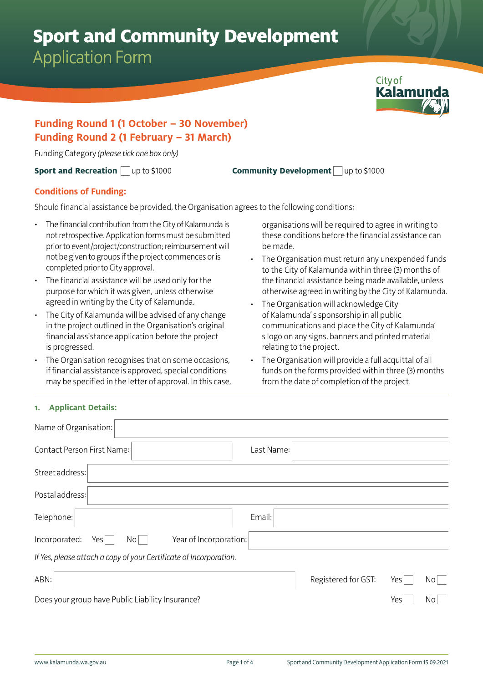## **Sport and Community Development**

Application Form



#### **Funding Round 1 (1 October – 30 November) Funding Round 2 (1 February – 31 March)**

Funding Category *(please tick one box only)* 

**Sport and Recreation** up to \$1000 **Community Development** up to \$1000

#### **Conditions of Funding:**

Should financial assistance be provided, the Organisation agrees to the following conditions:

- The financial contribution from the City of Kalamunda is not retrospective. Application forms must be submitted prior to event/project/construction; reimbursement will not be given to groups if the project commences or is completed prior to City approval.
- The financial assistance will be used only for the purpose for which it was given, unless otherwise agreed in writing by the City of Kalamunda.
- The City of Kalamunda will be advised of any change in the project outlined in the Organisation's original financial assistance application before the project is progressed.
- The Organisation recognises that on some occasions, if financial assistance is approved, special conditions may be specified in the letter of approval. In this case,

organisations will be required to agree in writing to these conditions before the financial assistance can be made.

- The Organisation must return any unexpended funds to the City of Kalamunda within three (3) months of the financial assistance being made available, unless otherwise agreed in writing by the City of Kalamunda.
- The Organisation will acknowledge City of Kalamunda' s sponsorship in all public communications and place the City of Kalamunda' s logo on any signs, banners and printed material relating to the project.
- The Organisation will provide a full acquittal of all funds on the forms provided within three (3) months from the date of completion of the project.

#### **1. Applicant Details:**

| Name of Organisation:                                              |            |                     |     |                 |
|--------------------------------------------------------------------|------------|---------------------|-----|-----------------|
| Contact Person First Name:                                         | Last Name: |                     |     |                 |
| Street address:                                                    |            |                     |     |                 |
| Postal address:                                                    |            |                     |     |                 |
| Telephone:                                                         | Email:     |                     |     |                 |
| Year of Incorporation:<br>Incorporated:<br>Yes<br>No               |            |                     |     |                 |
| If Yes, please attach a copy of your Certificate of Incorporation. |            |                     |     |                 |
| ABN:                                                               |            | Registered for GST: | Yes | $\mathsf{No}$   |
| Does your group have Public Liability Insurance?                   |            |                     | Yes | No <sub>1</sub> |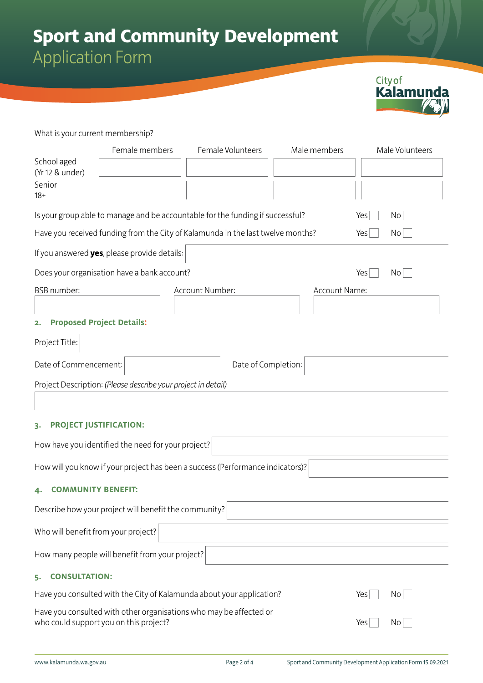### **Sport and Community Development** Application Form

City of<br>**Kalamunda** 

What is your current membership?

|                                        | Female members                                                | Female Volunteers                                                               | Male members  | Male Volunteers |  |
|----------------------------------------|---------------------------------------------------------------|---------------------------------------------------------------------------------|---------------|-----------------|--|
| School aged                            |                                                               |                                                                                 |               |                 |  |
| (Yr 12 & under)                        |                                                               |                                                                                 |               |                 |  |
| Senior<br>$18+$                        |                                                               |                                                                                 |               |                 |  |
|                                        |                                                               |                                                                                 |               |                 |  |
|                                        |                                                               | Is your group able to manage and be accountable for the funding if successful?  |               | No<br>Yes       |  |
|                                        |                                                               | Have you received funding from the City of Kalamunda in the last twelve months? |               | Yes<br>No       |  |
|                                        | If you answered yes, please provide details:                  |                                                                                 |               |                 |  |
|                                        | Does your organisation have a bank account?                   |                                                                                 |               | Yes<br>No       |  |
| <b>BSB</b> number:                     |                                                               | Account Number:                                                                 | Account Name: |                 |  |
|                                        |                                                               |                                                                                 |               |                 |  |
| <b>Proposed Project Details:</b><br>2. |                                                               |                                                                                 |               |                 |  |
| Project Title:                         |                                                               |                                                                                 |               |                 |  |
| Date of Commencement:                  |                                                               |                                                                                 |               |                 |  |
|                                        |                                                               | Date of Completion:                                                             |               |                 |  |
|                                        | Project Description: (Please describe your project in detail) |                                                                                 |               |                 |  |
|                                        |                                                               |                                                                                 |               |                 |  |
| <b>PROJECT JUSTIFICATION:</b><br>3.    |                                                               |                                                                                 |               |                 |  |
|                                        | How have you identified the need for your project?            |                                                                                 |               |                 |  |
|                                        |                                                               | How will you know if your project has been a success (Performance indicators)?  |               |                 |  |
| <b>COMMUNITY BENEFIT:</b><br>4.        |                                                               |                                                                                 |               |                 |  |
|                                        | Describe how your project will benefit the community?         |                                                                                 |               |                 |  |
|                                        |                                                               |                                                                                 |               |                 |  |
| Who will benefit from your project?    |                                                               |                                                                                 |               |                 |  |
|                                        | How many people will benefit from your project?               |                                                                                 |               |                 |  |
| <b>CONSULTATION:</b><br>5.             |                                                               |                                                                                 |               |                 |  |
|                                        |                                                               | Have you consulted with the City of Kalamunda about your application?           |               | No<br>Yes       |  |
|                                        |                                                               | Have you consulted with other organisations who may be affected or              |               |                 |  |

who could support you on this project?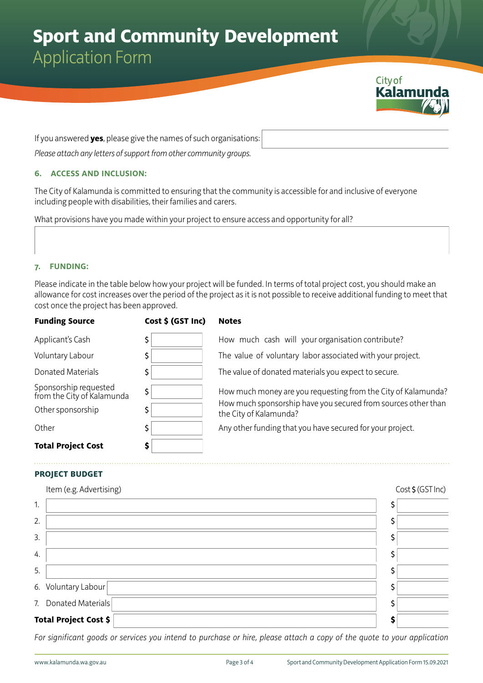# **Sport and Community Development**

Application Form



If you answered **yes**, please give the names of such organisations:

*Please attach any letters of support from other community groups.*

#### **6. ACCESS AND INCLUSION:**

The City of Kalamunda is committed to ensuring that the community is accessible for and inclusive of everyone including people with disabilities, their families and carers.

What provisions have you made within your project to ensure access and opportunity for all?

#### **7. FUNDING:**

Please indicate in the table below how your project will be funded. In terms of total project cost, you should make an allowance for cost increases over the period of the project as it is not possible to receive additional funding to meet that cost once the project has been approved.

| <b>Funding Source</b>                               | Cost \$ (GST Inc) | <b>Notes</b>                                                                            |
|-----------------------------------------------------|-------------------|-----------------------------------------------------------------------------------------|
| Applicant's Cash                                    | \$                | How much cash will your organisation contribute?                                        |
| Voluntary Labour                                    | \$                | The value of voluntary labor associated with your project.                              |
| Donated Materials                                   | \$                | The value of donated materials you expect to secure.                                    |
| Sponsorship requested<br>from the City of Kalamunda | \$                | How much money are you requesting from the City of Kalamunda?                           |
| Other sponsorship                                   | \$                | How much sponsorship have you secured from sources other than<br>the City of Kalamunda? |
| Other                                               | \$                | Any other funding that you have secured for your project.                               |
| <b>Total Project Cost</b>                           | \$                |                                                                                         |

#### **PROJECT BUDGET**

|    | Item (e.g. Advertising)      | Cost \$ (GST Inc) |
|----|------------------------------|-------------------|
| 1. |                              |                   |
| 2. |                              |                   |
| 3. |                              |                   |
| 4. |                              |                   |
| 5. |                              |                   |
|    | 6. Voluntary Labour          |                   |
|    | 7. Donated Materials         |                   |
|    | <b>Total Project Cost \$</b> |                   |

*For significant goods or services you intend to purchase or hire, please attach a copy of the quote to your application*